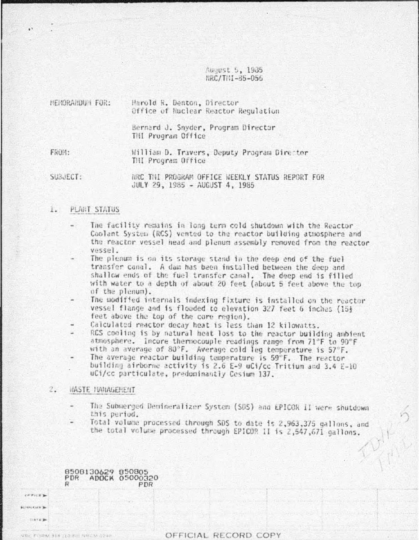August 5, 1935 NRC/TIM-85-056

| <b>MEMORANDUM FOR:</b> | Harold R. Denton, Director<br>Office of Nuclear Reactor Regulation |  |  |
|------------------------|--------------------------------------------------------------------|--|--|
|                        | Bernard J. Snyder, Program Director<br>TMI Program Office          |  |  |
| FROM:                  | William D. Travers, Deputy Program Director<br>THI Program Office  |  |  |

SUBJECT:

NRC THI PROGRAM OFFICE WEEKLY STATUS REPORT FOR JULY 29, 1985 - AUGUST 4, 1985

#### PLANT STATUS  $l_{\star}$

- The facility remains in long term cold shutdown with the Reactor Coolant System (RCS) vented to the reactor building atmosphere and the reactor vessel head and plenum assembly removed from the reactor vessel.
- The plenum is on its storage stand in the deep end of the fuel transfer canal. A dam has been installed between the deep and shallow ends of the fuel transfer canal. The deep end is filled with water to a depth of about 20 feet (about 5 feet above the top of the plenum).
- The modified internals indexing fixture is installed on the reactor vessel flange and is flooded to elevation 327 feet 6 inches (15+ feet above the top of the core region).
- Calculated reactor decay heat is less than 12 kilowatts.
- RCS cooling is by natural heat loss to the reactor building ambient atmosphere. Incore thermocouple readings range from 71°F to 90°F with an average of 80°F. Average cold leg temperature is 57°F.
- The average reactor building temperature is 59°F. The reactor building airborne activity is 2.6 E-9 uCi/cc Tritium and 3.4 E-10 uCi/cc particulate, predominantly Cesium 137.

#### $2.$ **HASTE MANAGEMENT**

comer a **HENRY KINER Barrage** 

ORE FULDRY ATA 110 AVE SERVAN

- The Submerged Demineralizer System (SDS) and EPICOR II were shutdown this period.
- Total volume processed through SDS to date is 2,963,375 gallons, and the total volume processed through EPICOR II is 2,547,671 gallons.

8508130629 850805<br>PDR ADOCK 05000320 PDR

OFFICIAL RECORD COPY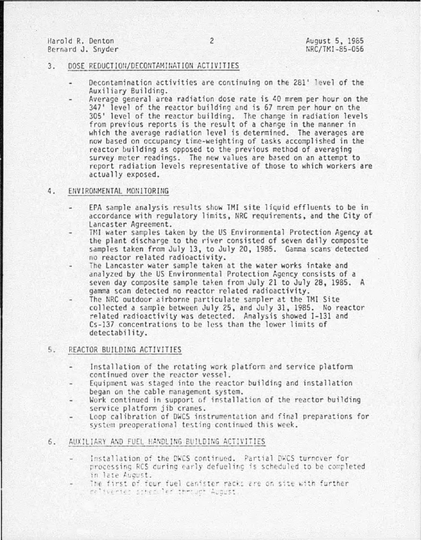Harold R. Denton Bernard J. Snyder

#### 3. DOSE REDUCTION/DECONTAMINATION ACTIVITIES

- Decontamination activities are continuing on the 281' level of the<br>Auxiliary Building.
- Average general area radiation dose rate is 40 mrem per hour on the  $347'$  level of the reactor building and is 67 mrem per hour on the 305' level of the reactor building. The change in radiation levels from previous reports is the result of a change in the manner in which the average radiation level is determined. The averages are now based on occupancy time-weighting of tasks accomplished in the reactor building as opposed to the previous method of averaging survey meter readings. The new values are based on an attempt to report radiation levels representative of those to which workers are actually exposed.

#### 4. ENVIRONMENTAL MONITORING

- EPA sample analysis results show TMI site liquid effluents to be in accordance with regulatory limits, fiRC requirements, and the City of Lancaster Agreement.
- HII water samples taken by the US Environmental Protection Agency at the plant discharge to the river consisted of seven daily composite samples taken from July 13, to July 20, 1985. Gamma scans detected no reactor related radioactivity.
- The Lancaster water sample taken at the water works intake and analyzed by the US Environmental Protection Agency consists of a seven day composite sample taken from July 21 to July 28, 1985. A gamma scan detected no reactor related radioactivity.
- The NRC outdoor airborne particulate sampler at the TMI Site collected a sample between July 25 , and July 31 , 1985. No reactor related radioactivity was detected. Analysis showed I-131 and Cs-137 concentrations to be less than the lower limits of detectability.

### 5. REACTOR BU!LOING ACTIVITIES

- Installation of the rotating work platform and service platform continued over the reactor vessel.
- Equipment was staged into the reactor building and installation<br>began on the cable management system.
- Work continued in support of installation of the reactor building service platform jib cranes.
- Loop calibration of DWCS instrumentation and final preparations for system preoperational testing continued this week.
- 6. AUXILIARY AND FUEL HANDLING BUILDING ACTIVITIES
	- Installation of the DWCS continued. Partial DWCS turnover for processing RCS during early defueling is scheduled to be completed in late August.<br>The first of four fuel canister racks are on site with further
	- reliveries scheduler through August.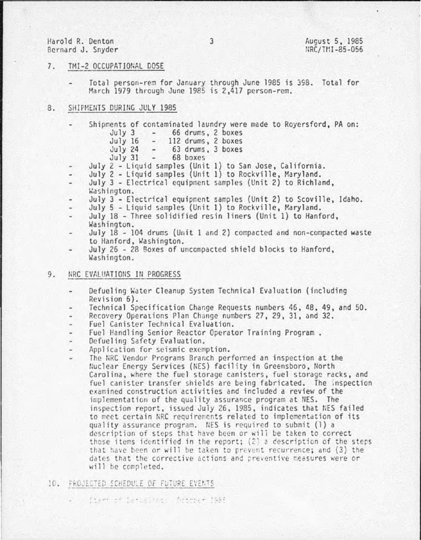### Harold R. Denton Bernard J. Snyder

#### 7. TMI-2 OCCUPATIONAL DOSE

Total person-rem for January through June 1985 is 398. Total for March 1979 through June 1985 is 2,417 person-rem.

#### 8. SHIPMENTS DURING JULY 1985

- Shipments of contaminated laundry were made to Royersford, PA on:<br>July 3 66 drums, 2 boxes
	- July 3 66 drums, 2 boxes<br>July 16 112 drums, 2 boxes
	- July 16 112 drums, 2 boxes<br>July 24 63 drums, 3 boxes July 24 - 63 drums, 3 boxes<br>July 31 - 68 boxes
		- 68 boxes
- July 2 Liquid samples (Unit 1) to San Jose, California.
- July  $2$  Liquid samples (Unit 1) to Rockville, Maryland.
- July 3 Electrical equipment samples (Unit 2) to Richland,
- Washington.
- July 3 Electrical equipment samples (Unit 2) to Scoville, Idaho.
- July 5 Liquid samples (Unit 1) to Rockville, Maryland.
- July 18- Three solidified resin liners (Unit 1) to Hanford, Washington.
- July 18 104 drums (Unit 1 and 2) compacted and non-compacted waste to Hanford, Washington.
- July 26 28 Boxes of uncompacted shield blocks to Hanford, Washington.

## 9. NRC EVALUATIONS IN PROGRESS

- Defueling Water Cleanup System Technical Evaluation (including Revision 6).
- Technical Specification Change Requests numbers 46, 48, 49, and 50.
- Recovery Operations Plan Change numbers 27, 29, 31, and 32.
- Fuel Canister Technical Evaluation. ۰.
- Fuel Handling Senior Reactor Operator Training Program.<br>Defueling Safety Evaluation.
- 
- Application for seismic exemption.
	- The NRC Vendor Programs Branch performed an inspection at the Nuclear Energy Services (NES) facility in Greensboro, North Carolina, where the fuel storage canisters, fuel storage racks, and fuel canister transfer shields are being fabricated. The inspection examined construction activities and included a review of the implementation of the quality assurance program at NES. The inspection report, issued July 26, 1985, indicates that NES failed to meet certain NRC requirements related to implementation of its quality assurance program. NES is required to submit (1) a description of steps that have been or will be taken to correct those items identified in the report;  $(2)$  a description of the steps that have been or will be taken to prevent recurrence; and (3) the dates that the corrective actions and preventive measures were or will be completed.

#### 10. PROJECTED SCHEDULE OF FUTURE EVENTS

fter at betugnedy feremen 1985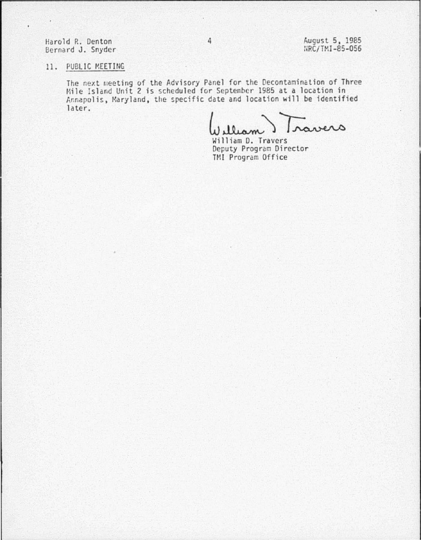Harold P.. Denton Bernard J. Snyder 4 **August 5, 1985** NRC/TMI-85-056

# 11. PUBLIC MEETING

The next meeting of the Advisory Panel for the Decontamination of Three Mile Island Unit 2 is scheduled for September 1985 at a location in Annapolis, Maryland, the specific date and location will be identified later.

William D. Travers

Deputy Program Director TMI Program Office